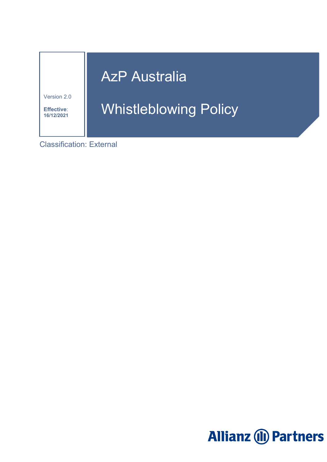# **AzP Australia**

Version 2.0

I.

**Effective**: **16/12/2021**

# Whistleblowing Policy

Classification: External

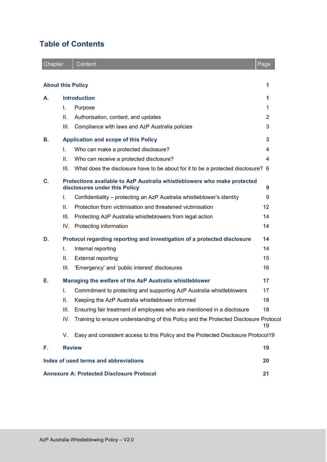# **Table of Contents**

| Chapter |                                                         | Content                                                                                                   | Page |
|---------|---------------------------------------------------------|-----------------------------------------------------------------------------------------------------------|------|
|         |                                                         | <b>About this Policy</b>                                                                                  | 1    |
| А.      | <b>Introduction</b>                                     |                                                                                                           |      |
|         | T.                                                      | Purpose                                                                                                   | 1    |
|         | ΙΙ.                                                     | Authorisation, content, and updates                                                                       | 2    |
|         | III.                                                    | Compliance with laws and AzP Australia policies                                                           | 3    |
| В.      | <b>Application and scope of this Policy</b><br>3        |                                                                                                           |      |
|         | T.                                                      | Who can make a protected disclosure?                                                                      | 4    |
|         | Ш.                                                      | Who can receive a protected disclosure?                                                                   | 4    |
|         | III.                                                    | What does the disclosure have to be about for it to be a protected disclosure? 6                          |      |
| C.      |                                                         | Protections available to AzP Australia whistleblowers who make protected<br>disclosures under this Policy | 9    |
|         | L.                                                      | Confidentiality – protecting an AzP Australia whistleblower's identity                                    | 9    |
|         | Ш.                                                      | Protection from victimisation and threatened victimisation                                                | 12   |
|         | III.                                                    | Protecting AzP Australia whistleblowers from legal action                                                 | 14   |
|         |                                                         | IV. Protecting information                                                                                | 14   |
| D.      |                                                         | Protocol regarding reporting and investigation of a protected disclosure                                  | 14   |
|         | I.                                                      | Internal reporting                                                                                        | 14   |
|         | ΙΙ.                                                     | <b>External reporting</b>                                                                                 | 15   |
|         | III.                                                    | 'Emergency' and 'public interest' disclosures                                                             | 16   |
| Е.      | Managing the welfare of the AzP Australia whistleblower |                                                                                                           | 17   |
|         | L.                                                      | Commitment to protecting and supporting AzP Australia whistleblowers                                      | 17   |
|         | Ш.                                                      | Keeping the AzP Australia whistleblower informed                                                          | 18   |
|         | III.                                                    | Ensuring fair treatment of employees who are mentioned in a disclosure                                    | 18   |
|         | IV.                                                     | Training to ensure understanding of this Policy and the Protected Disclosure Protocol                     | 19   |
|         | V.                                                      | Easy and consistent access to this Policy and the Protected Disclosure Protocol19                         |      |
| F.      |                                                         | <b>Review</b>                                                                                             | 19   |
|         |                                                         | Index of used terms and abbreviations                                                                     | 20   |
|         |                                                         | <b>Annexure A: Protected Disclosure Protocol</b>                                                          | 21   |

œ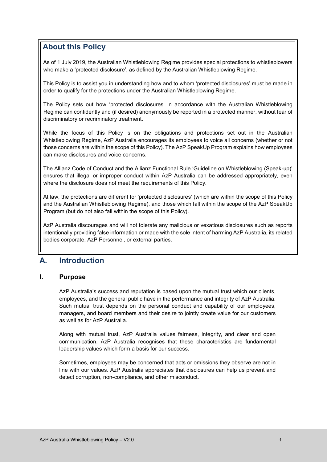# <span id="page-2-0"></span>**About this Policy**

As of 1 July 2019, the Australian Whistleblowing Regime provides special protections to whistleblowers who make a 'protected disclosure', as defined by the Australian Whistleblowing Regime.

This Policy is to assist you in understanding how and to whom 'protected disclosures' must be made in order to qualify for the protections under the Australian Whistleblowing Regime.

The Policy sets out how 'protected disclosures' in accordance with the Australian Whistleblowing Regime can confidently and (if desired) anonymously be reported in a protected manner, without fear of discriminatory or recriminatory treatment.

While the focus of this Policy is on the obligations and protections set out in the Australian Whistleblowing Regime, AzP Australia encourages its employees to voice all concerns (whether or not those concerns are within the scope of this Policy). The AzP SpeakUp Program explains how employees can make disclosures and voice concerns.

The Allianz Code of Conduct and the Allianz Functional Rule 'Guideline on Whistleblowing (Speak-up)' ensures that illegal or improper conduct within AzP Australia can be addressed appropriately, even where the disclosure does not meet the requirements of this Policy.

At law, the protections are different for 'protected disclosures' (which are within the scope of this Policy and the Australian Whistleblowing Regime), and those which fall within the scope of the AzP SpeakUp Program (but do not also fall within the scope of this Policy).

AzP Australia discourages and will not tolerate any malicious or vexatious disclosures such as reports intentionally providing false information or made with the sole intent of harming AzP Australia, its related bodies corporate, AzP Personnel, or external parties.

# <span id="page-2-1"></span>**A. Introduction**

# <span id="page-2-2"></span>**I. Purpose**

AzP Australia's success and reputation is based upon the mutual trust which our clients, employees, and the general public have in the performance and integrity of AzP Australia. Such mutual trust depends on the personal conduct and capability of our employees, managers, and board members and their desire to jointly create value for our customers as well as for AzP Australia.

Along with mutual trust, AzP Australia values fairness, integrity, and clear and open communication. AzP Australia recognises that these characteristics are fundamental leadership values which form a basis for our success.

Sometimes, employees may be concerned that acts or omissions they observe are not in line with our values. AzP Australia appreciates that disclosures can help us prevent and detect corruption, non-compliance, and other misconduct.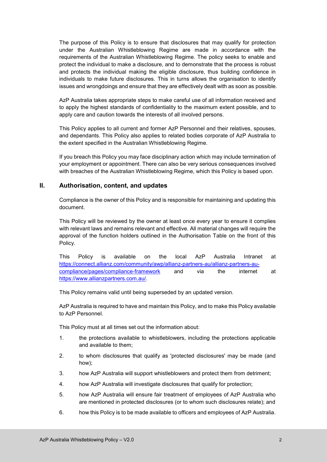The purpose of this Policy is to ensure that disclosures that may qualify for protection under the Australian Whistleblowing Regime are made in accordance with the requirements of the Australian Whistleblowing Regime. The policy seeks to enable and protect the individual to make a disclosure, and to demonstrate that the process is robust and protects the individual making the eligible disclosure, thus building confidence in individuals to make future disclosures. This in turns allows the organisation to identify issues and wrongdoings and ensure that they are effectively dealt with as soon as possible.

AzP Australia takes appropriate steps to make careful use of all information received and to apply the highest standards of confidentiality to the maximum extent possible, and to apply care and caution towards the interests of all involved persons.

This Policy applies to all current and former AzP Personnel and their relatives, spouses, and dependants. This Policy also applies to related bodies corporate of AzP Australia to the extent specified in the Australian Whistleblowing Regime.

If you breach this Policy you may face disciplinary action which may include termination of your employment or appointment. There can also be very serious consequences involved with breaches of the Australian Whistleblowing Regime, which this Policy is based upon.

# <span id="page-3-0"></span>**II. Authorisation, content, and updates**

Compliance is the owner of this Policy and is responsible for maintaining and updating this document.

This Policy will be reviewed by the owner at least once every year to ensure it complies with relevant laws and remains relevant and effective. All material changes will require the approval of the function holders outlined in the Authorisation Table on the front of this Policy.

This Policy is available on the local AzP Australia Intranet at [https://connect.allianz.com/community/awp/allianz-partners-au/allianz-partners-au](https://connect.allianz.com/community/awp/allianz-partners-au/allianz-partners-au-compliance/pages/compliance-framework)[compliance/pages/compliance-framework](https://connect.allianz.com/community/awp/allianz-partners-au/allianz-partners-au-compliance/pages/compliance-framework) and via the internet at [https://www.allianzpartners.com.au/.](https://www.allianzpartners.com.au/)

This Policy remains valid until being superseded by an updated version.

AzP Australia is required to have and maintain this Policy, and to make this Policy available to AzP Personnel.

This Policy must at all times set out the information about:

- 1. the protections available to whistleblowers, including the protections applicable and available to them;
- 2. to whom disclosures that qualify as 'protected disclosures' may be made (and how);
- 3. how AzP Australia will support whistleblowers and protect them from detriment;
- 4. how AzP Australia will investigate disclosures that qualify for protection;
- 5. how AzP Australia will ensure fair treatment of employees of AzP Australia who are mentioned in protected disclosures (or to whom such disclosures relate); and
- 6. how this Policy is to be made available to officers and employees of AzP Australia.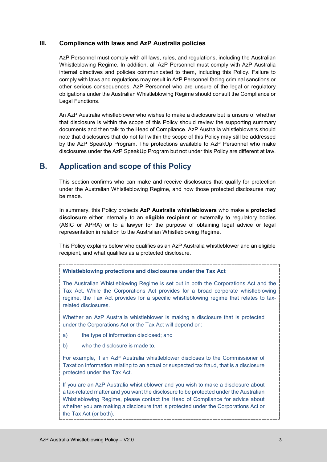# <span id="page-4-0"></span>**III. Compliance with laws and AzP Australia policies**

AzP Personnel must comply with all laws, rules, and regulations, including the Australian Whistleblowing Regime. In addition, all AzP Personnel must comply with AzP Australia internal directives and policies communicated to them, including this Policy. Failure to comply with laws and regulations may result in AzP Personnel facing criminal sanctions or other serious consequences. AzP Personnel who are unsure of the legal or regulatory obligations under the Australian Whistleblowing Regime should consult the Compliance or Legal Functions.

An AzP Australia whistleblower who wishes to make a disclosure but is unsure of whether that disclosure is within the scope of this Policy should review the supporting summary documents and then talk to the Head of Compliance. AzP Australia whistleblowers should note that disclosures that do not fall within the scope of this Policy may still be addressed by the AzP SpeakUp Program. The protections available to AzP Personnel who make disclosures under the AzP SpeakUp Program but not under this Policy are different at law.

# <span id="page-4-1"></span>**B. Application and scope of this Policy**

This section confirms who can make and receive disclosures that qualify for protection under the Australian Whistleblowing Regime, and how those protected disclosures may be made.

In summary, this Policy protects **AzP Australia whistleblowers** who make a **protected disclosure** either internally to an **eligible recipient** or externally to regulatory bodies (ASIC or APRA) or to a lawyer for the purpose of obtaining legal advice or legal representation in relation to the Australian Whistleblowing Regime.

This Policy explains below who qualifies as an AzP Australia whistleblower and an eligible recipient, and what qualifies as a protected disclosure.

# **Whistleblowing protections and disclosures under the Tax Act**

The Australian Whistleblowing Regime is set out in both the Corporations Act and the Tax Act. While the Corporations Act provides for a broad corporate whistleblowing regime, the Tax Act provides for a specific whistleblowing regime that relates to taxrelated disclosures.

Whether an AzP Australia whistleblower is making a disclosure that is protected under the Corporations Act or the Tax Act will depend on:

- a) the type of information disclosed; and
- b) who the disclosure is made to.

For example, if an AzP Australia whistleblower discloses to the Commissioner of Taxation information relating to an actual or suspected tax fraud, that is a disclosure protected under the Tax Act.

If you are an AzP Australia whistleblower and you wish to make a disclosure about a tax-related matter and you want the disclosure to be protected under the Australian Whistleblowing Regime, please contact the Head of Compliance for advice about whether you are making a disclosure that is protected under the Corporations Act or the Tax Act (or both).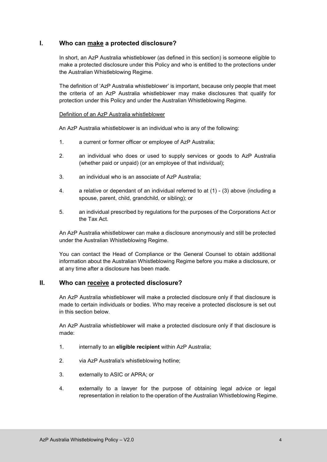# <span id="page-5-0"></span>**I. Who can make a protected disclosure?**

In short, an AzP Australia whistleblower (as defined in this section) is someone eligible to make a protected disclosure under this Policy and who is entitled to the protections under the Australian Whistleblowing Regime.

The definition of 'AzP Australia whistleblower' is important, because only people that meet the criteria of an AzP Australia whistleblower may make disclosures that qualify for protection under this Policy and under the Australian Whistleblowing Regime.

#### Definition of an AzP Australia whistleblower

An AzP Australia whistleblower is an individual who is any of the following:

- 1. a current or former officer or employee of AzP Australia;
- 2. an individual who does or used to supply services or goods to AzP Australia (whether paid or unpaid) (or an employee of that individual);
- 3. an individual who is an associate of AzP Australia;
- 4. a relative or dependant of an individual referred to at (1) (3) above (including a spouse, parent, child, grandchild, or sibling); or
- 5. an individual prescribed by regulations for the purposes of the Corporations Act or the Tax Act.

An AzP Australia whistleblower can make a disclosure anonymously and still be protected under the Australian Whistleblowing Regime.

You can contact the Head of Compliance or the General Counsel to obtain additional information about the Australian Whistleblowing Regime before you make a disclosure, or at any time after a disclosure has been made.

# <span id="page-5-1"></span>**II. Who can receive a protected disclosure?**

An AzP Australia whistleblower will make a protected disclosure only if that disclosure is made to certain individuals or bodies. Who may receive a protected disclosure is set out in this section below.

An AzP Australia whistleblower will make a protected disclosure only if that disclosure is made:

- 1. internally to an **eligible recipient** within AzP Australia;
- 2. via AzP Australia's whistleblowing hotline;
- 3. externally to ASIC or APRA; or
- 4. externally to a lawyer for the purpose of obtaining legal advice or legal representation in relation to the operation of the Australian Whistleblowing Regime.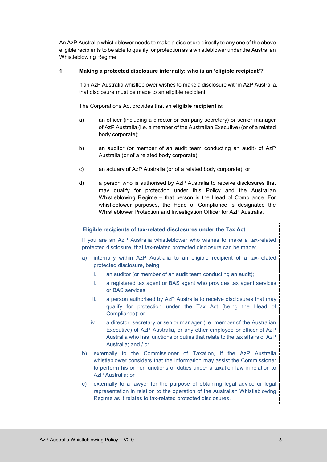An AzP Australia whistleblower needs to make a disclosure directly to any one of the above eligible recipients to be able to qualify for protection as a whistleblower under the Australian Whistleblowing Regime.

# **1. Making a protected disclosure internally: who is an 'eligible recipient'?**

If an AzP Australia whistleblower wishes to make a disclosure within AzP Australia, that disclosure must be made to an eligible recipient.

The Corporations Act provides that an **eligible recipient** is:

- a) an officer (including a director or company secretary) or senior manager of AzP Australia (i.e. a member of the Australian Executive) (or of a related body corporate);
- b) an auditor (or member of an audit team conducting an audit) of AzP Australia (or of a related body corporate);
- c) an actuary of AzP Australia (or of a related body corporate); or
- d) a person who is authorised by AzP Australia to receive disclosures that may qualify for protection under this Policy and the Australian Whistleblowing Regime – that person is the Head of Compliance. For whistleblower purposes, the Head of Compliance is designated the Whistleblower Protection and Investigation Officer for AzP Australia.

# **Eligible recipients of tax-related disclosures under the Tax Act**

If you are an AzP Australia whistleblower who wishes to make a tax-related protected disclosure, that tax-related protected disclosure can be made:

- a) internally within AzP Australia to an eligible recipient of a tax-related protected disclosure, being:
	- i. an auditor (or member of an audit team conducting an audit);
	- ii. a registered tax agent or BAS agent who provides tax agent services or BAS services;
	- iii. a person authorised by AzP Australia to receive disclosures that may qualify for protection under the Tax Act (being the Head of Compliance); or
	- iv. a director, secretary or senior manager (i.e. member of the Australian Executive) of AzP Australia, or any other employee or officer of AzP Australia who has functions or duties that relate to the tax affairs of AzP Australia; and / or
- b) externally to the Commissioner of Taxation, if the AzP Australia whistleblower considers that the information may assist the Commissioner to perform his or her functions or duties under a taxation law in relation to AzP Australia; or
- c) externally to a lawyer for the purpose of obtaining legal advice or legal representation in relation to the operation of the Australian Whistleblowing Regime as it relates to tax-related protected disclosures.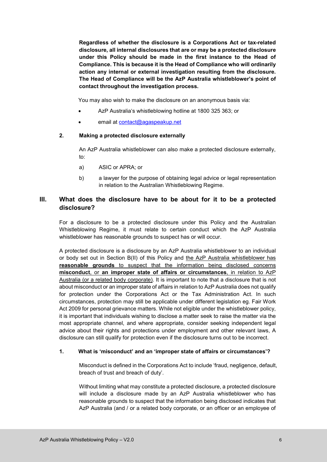**Regardless of whether the disclosure is a Corporations Act or tax-related disclosure, all internal disclosures that are or may be a protected disclosure under this Policy should be made in the first instance to the Head of Compliance. This is because it is the Head of Compliance who will ordinarily action any internal or external investigation resulting from the disclosure. The Head of Compliance will be the AzP Australia whistleblower's point of contact throughout the investigation process.** 

You may also wish to make the disclosure on an anonymous basis via:

- AzP Australia's whistleblowing hotline at 1800 325 363; or
- email at [contact@agaspeakup.net](mailto:contact@agaspeakup.net)

#### **2. Making a protected disclosure externally**

An AzP Australia whistleblower can also make a protected disclosure externally, to:

- a) ASIC or APRA; or
- b) a lawyer for the purpose of obtaining legal advice or legal representation in relation to the Australian Whistleblowing Regime.

# <span id="page-7-0"></span>**III. What does the disclosure have to be about for it to be a protected disclosure?**

For a disclosure to be a protected disclosure under this Policy and the Australian Whistleblowing Regime, it must relate to certain conduct which the AzP Australia whistleblower has reasonable grounds to suspect has or will occur.

A protected disclosure is a disclosure by an AzP Australia whistleblower to an individual or body set out in Section B(II) of this Policy and the AzP Australia whistleblower has **reasonable grounds** to suspect that the information being disclosed concerns **misconduct**, or **an improper state of affairs or circumstances**, in relation to AzP Australia (or a related body corporate). It is important to note that a disclosure that is not about misconduct or an improper state of affairs in relation to AzP Australia does not qualify for protection under the Corporations Act or the Tax Administration Act. In such circumstances, protection may still be applicable under different legislation eg. Fair Work Act 2009 for personal grievance matters. While not eligible under the whistleblower policy, it is important that individuals wishing to disclose a matter seek to raise the matter via the most appropriate channel, and where appropriate, consider seeking independent legal advice about their rights and protections under employment and other relevant laws, A disclosure can still qualify for protection even if the disclosure turns out to be incorrect.

# **1. What is 'misconduct' and an 'improper state of affairs or circumstances'?**

Misconduct is defined in the Corporations Act to include 'fraud, negligence, default, breach of trust and breach of duty'.

Without limiting what may constitute a protected disclosure, a protected disclosure will include a disclosure made by an AzP Australia whistleblower who has reasonable grounds to suspect that the information being disclosed indicates that AzP Australia (and / or a related body corporate, or an officer or an employee of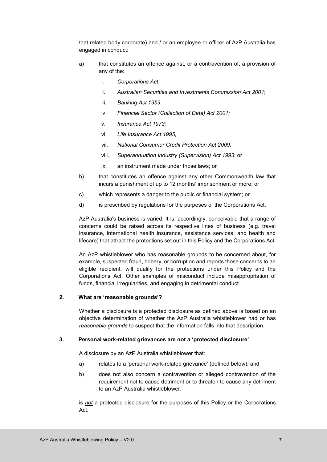that related body corporate) and / or an employee or officer of AzP Australia has engaged in conduct:

- a) that constitutes an offence against, or a contravention of, a provision of any of the:
	- i. *Corporations Act*;
	- ii. *Australian Securities and Investments Commission Act 2001*;
	- iii. *Banking Act 1959*;
	- iv. *Financial Sector (Collection of Data) Act 2001;*
	- v. *Insurance Act 1973;*
	- vi. *Life Insurance Act 1995;*
	- vii. *National Consumer Credit Protection Act 2009;*
	- viii. *Superannuation Industry (Supervision) Act 1993*; or
	- ix. an instrument made under those laws; or
- b) that constitutes an offence against any other Commonwealth law that incurs a punishment of up to 12 months' imprisonment or more; or
- c) which represents a danger to the public or financial system; or
- d) is prescribed by regulations for the purposes of the Corporations Act.

AzP Australia's business is varied. It is, accordingly, conceivable that a range of concerns could be raised across its respective lines of business (e.g. travel insurance, international health insurance, assistance services, and health and lifecare) that attract the protections set out in this Policy and the Corporations Act.

An AzP whistleblower who has reasonable grounds to be concerned about, for example, suspected fraud, bribery, or corruption and reports those concerns to an eligible recipient, will qualify for the protections under this Policy and the Corporations Act. Other examples of misconduct include misappropriation of funds, financial irregularities, and engaging in detrimental conduct.

#### **2. What are 'reasonable grounds'?**

Whether a disclosure is a protected disclosure as defined above is based on an objective determination of whether the AzP Australia whistleblower had or has *reasonable grounds* to suspect that the information falls into that description.

#### **3. Personal work-related grievances are not a 'protected disclosure'**

A disclosure by an AzP Australia whistleblower that:

- a) relates to a 'personal work-related grievance' (defined below); and
- b) does not also concern a contravention or alleged contravention of the requirement not to cause detriment or to threaten to cause any detriment to an AzP Australia whistleblower,

is *not* a protected disclosure for the purposes of this Policy or the Corporations Act.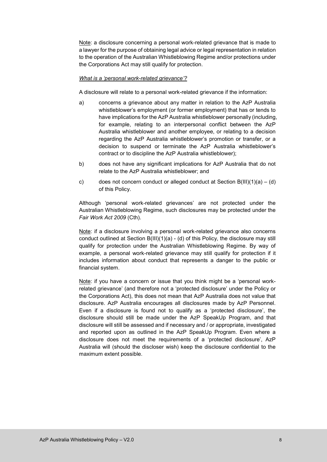Note: a disclosure concerning a personal work-related grievance that is made to a lawyer for the purpose of obtaining legal advice or legal representation in relation to the operation of the Australian Whistleblowing Regime and/or protections under the Corporations Act may still qualify for protection.

#### *What is a 'personal work-related grievance'?*

A disclosure will relate to a personal work-related grievance if the information:

- a) concerns a grievance about any matter in relation to the AzP Australia whistleblower's employment (or former employment) that has or tends to have implications for the AzP Australia whistleblower personally (including, for example, relating to an interpersonal conflict between the AzP Australia whistleblower and another employee, or relating to a decision regarding the AzP Australia whistleblower's promotion or transfer, or a decision to suspend or terminate the AzP Australia whistleblower's contract or to discipline the AzP Australia whistleblower);
- b) does not have any significant implications for AzP Australia that do not relate to the AzP Australia whistleblower; and
- c) does not concern conduct or alleged conduct at Section  $B(III)(1)(a) (d)$ of this Policy.

Although 'personal work-related grievances' are not protected under the Australian Whistleblowing Regime, such disclosures may be protected under the *Fair Work Act 2009* (Cth).

Note: if a disclosure involving a personal work-related grievance also concerns conduct outlined at Section  $B(III)(1)(a) - (d)$  of this Policy, the disclosure may still qualify for protection under the Australian Whistleblowing Regime. By way of example, a personal work-related grievance may still qualify for protection if it includes information about conduct that represents a danger to the public or financial system.

Note: if you have a concern or issue that you think might be a 'personal workrelated grievance' (and therefore not a 'protected disclosure' under the Policy or the Corporations Act), this does not mean that AzP Australia does not value that disclosure. AzP Australia encourages all disclosures made by AzP Personnel. Even if a disclosure is found not to qualify as a 'protected disclosure', the disclosure should still be made under the AzP SpeakUp Program, and that disclosure will still be assessed and if necessary and / or appropriate, investigated and reported upon as outlined in the AzP SpeakUp Program. Even where a disclosure does not meet the requirements of a 'protected disclosure', AzP Australia will (should the discloser wish) keep the disclosure confidential to the maximum extent possible.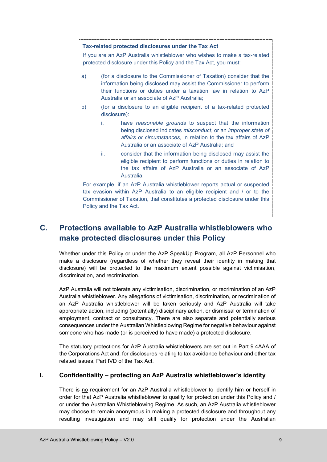#### **Tax-related protected disclosures under the Tax Act**

If you are an AzP Australia whistleblower who wishes to make a tax-related protected disclosure under this Policy and the Tax Act, you must:

- a) (for a disclosure to the Commissioner of Taxation) consider that the information being disclosed may assist the Commissioner to perform their functions or duties under a taxation law in relation to AzP Australia or an associate of AzP Australia;
- b) (for a disclosure to an eligible recipient of a tax-related protected disclosure):
	- i. have *reasonable grounds* to suspect that the information being disclosed indicates *misconduct*, or an *improper state of affairs or circumstances*, in relation to the tax affairs of AzP Australia or an associate of AzP Australia; and
	- ii. consider that the information being disclosed may assist the eligible recipient to perform functions or duties in relation to the tax affairs of AzP Australia or an associate of AzP Australia.

For example, if an AzP Australia whistleblower reports actual or suspected tax evasion within AzP Australia to an eligible recipient and / or to the Commissioner of Taxation, that constitutes a protected disclosure under this Policy and the Tax Act.

# <span id="page-10-0"></span>**C. Protections available to AzP Australia whistleblowers who make protected disclosures under this Policy**

Whether under this Policy or under the AzP SpeakUp Program, all AzP Personnel who make a disclosure (regardless of whether they reveal their identity in making that disclosure) will be protected to the maximum extent possible against victimisation, discrimination, and recrimination.

AzP Australia will not tolerate any victimisation, discrimination, or recrimination of an AzP Australia whistleblower. Any allegations of victimisation, discrimination, or recrimination of an AzP Australia whistleblower will be taken seriously and AzP Australia will take appropriate action, including (potentially) disciplinary action, or dismissal or termination of employment, contract or consultancy. There are also separate and potentially serious consequences under the Australian Whistleblowing Regime for negative behaviour against someone who has made (or is perceived to have made) a protected disclosure.

The statutory protections for AzP Australia whistleblowers are set out in Part 9.4AAA of the Corporations Act and, for disclosures relating to tax avoidance behaviour and other tax related issues, Part IVD of the Tax Act.

# <span id="page-10-1"></span>**I. Confidentiality – protecting an AzP Australia whistleblower's identity**

There is no requirement for an AzP Australia whistleblower to identify him or herself in order for that AzP Australia whistleblower to qualify for protection under this Policy and / or under the Australian Whistleblowing Regime. As such, an AzP Australia whistleblower may choose to remain anonymous in making a protected disclosure and throughout any resulting investigation and may still qualify for protection under the Australian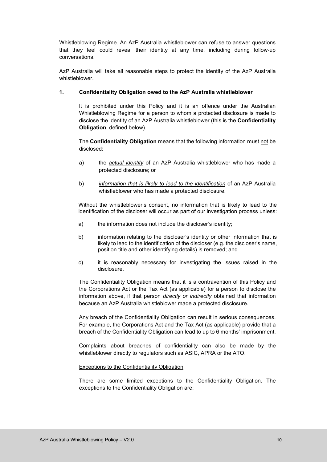Whistleblowing Regime. An AzP Australia whistleblower can refuse to answer questions that they feel could reveal their identity at any time, including during follow-up conversations.

AzP Australia will take all reasonable steps to protect the identity of the AzP Australia whistleblower.

# **1. Confidentiality Obligation owed to the AzP Australia whistleblower**

It is prohibited under this Policy and it is an offence under the Australian Whistleblowing Regime for a person to whom a protected disclosure is made to disclose the identity of an AzP Australia whistleblower (this is the **Confidentiality Obligation**, defined below).

The **Confidentiality Obligation** means that the following information must not be disclosed:

- a) the *actual identity* of an AzP Australia whistleblower who has made a protected disclosure; or
- b) *information that is likely to lead to the identification* of an AzP Australia whistleblower who has made a protected disclosure.

Without the whistleblower's consent, no information that is likely to lead to the identification of the discloser will occur as part of our investigation process unless:

- a) the information does not include the discloser's identity;
- b) information relating to the discloser's identity or other information that is likely to lead to the identification of the discloser (e.g. the discloser's name, position title and other identifying details) is removed; and
- c) it is reasonably necessary for investigating the issues raised in the disclosure.

The Confidentiality Obligation means that it is a contravention of this Policy and the Corporations Act or the Tax Act (as applicable) for a person to disclose the information above, if that person *directly or indirectly* obtained that information because an AzP Australia whistleblower made a protected disclosure.

Any breach of the Confidentiality Obligation can result in serious consequences. For example, the Corporations Act and the Tax Act (as applicable) provide that a breach of the Confidentiality Obligation can lead to up to 6 months' imprisonment.

Complaints about breaches of confidentiality can also be made by the whistleblower directly to regulators such as ASIC, APRA or the ATO.

# Exceptions to the Confidentiality Obligation

There are some limited exceptions to the Confidentiality Obligation. The exceptions to the Confidentiality Obligation are: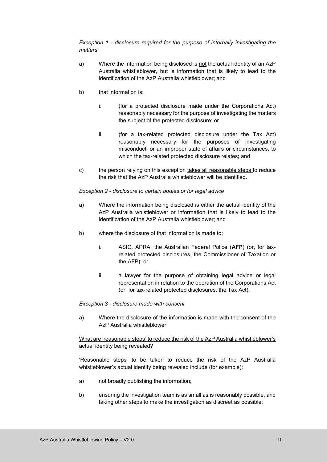*Exception 1 - disclosure required for the purpose of internally investigating the matters* 

- a) Where the information being disclosed is not the actual identity of an AzP Australia whistleblower, but is information that is likely to lead to the identification of the AzP Australia whistleblower; and
- b) that information is:
	- i. (for a protected disclosure made under the Corporations Act) reasonably necessary for the purpose of investigating the matters the subject of the protected disclosure; or
	- ii. (for a tax-related protected disclosure under the Tax Act) reasonably necessary for the purposes of investigating misconduct, or an improper state of affairs or circumstances, to which the tax-related protected disclosure relates; and
- c) the person relying on this exception takes all reasonable steps to reduce the risk that the AzP Australia whistleblower will be identified.

# *Exception 2 - disclosure to certain bodies or for legal advice*

- a) Where the information being disclosed is either the actual identity of the AzP Australia whistleblower or information that is likely to lead to the identification of the AzP Australia whistleblower; and
- b) where the disclosure of that information is made to:
	- i. ASIC, APRA, the Australian Federal Police (**AFP**) (or, for taxrelated protected disclosures, the Commissioner of Taxation or the AFP); or
	- ii. a lawyer for the purpose of obtaining legal advice or legal representation in relation to the operation of the Corporations Act (or, for tax-related protected disclosures, the Tax Act).

# *Exception 3 - disclosure made with consent*

a) Where the disclosure of the information is made with the consent of the AzP Australia whistleblower.

# What are 'reasonable steps' to reduce the risk of the AzP Australia whistleblower's actual identity being revealed?

'Reasonable steps' to be taken to reduce the risk of the AzP Australia whistleblower's actual identity being revealed include (for example):

- a) not broadly publishing the information;
- b) ensuring the investigation team is as small as is reasonably possible, and taking other steps to make the investigation as discreet as possible;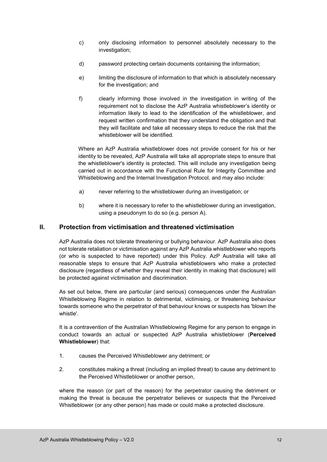- c) only disclosing information to personnel absolutely necessary to the investigation;
- d) password protecting certain documents containing the information;
- e) limiting the disclosure of information to that which is absolutely necessary for the investigation; and
- f) clearly informing those involved in the investigation in writing of the requirement not to disclose the AzP Australia whistleblower's identity or information likely to lead to the identification of the whistleblower, and request written confirmation that they understand the obligation and that they will facilitate and take all necessary steps to reduce the risk that the whistleblower will be identified.

Where an AzP Australia whistleblower does not provide consent for his or her identity to be revealed, AzP Australia will take all appropriate steps to ensure that the whistleblower's identity is protected. This will include any investigation being carried out in accordance with the Functional Rule for Integrity Committee and Whistleblowing and the Internal Investigation Protocol, and may also include:

- a) never referring to the whistleblower during an investigation; or
- b) where it is necessary to refer to the whistleblower during an investigation, using a pseudonym to do so (e.g. person A).

# <span id="page-13-0"></span>**II. Protection from victimisation and threatened victimisation**

AzP Australia does not tolerate threatening or bullying behaviour. AzP Australia also does not tolerate retaliation or victimisation against any AzP Australia whistleblower who reports (or who is suspected to have reported) under this Policy. AzP Australia will take all reasonable steps to ensure that AzP Australia whistleblowers who make a protected disclosure (regardless of whether they reveal their identity in making that disclosure) will be protected against victimisation and discrimination.

As set out below, there are particular (and serious) consequences under the Australian Whistleblowing Regime in relation to detrimental, victimising, or threatening behaviour towards someone who the perpetrator of that behaviour knows or suspects has 'blown the whistle'.

It is a contravention of the Australian Whistleblowing Regime for any person to engage in conduct towards an actual or suspected AzP Australia whistleblower (**Perceived Whistleblower**) that:

- 1. causes the Perceived Whistleblower any detriment; or
- 2. constitutes making a threat (including an implied threat) to cause any detriment to the Perceived Whistleblower or another person,

where the reason (or part of the reason) for the perpetrator causing the detriment or making the threat is because the perpetrator believes or suspects that the Perceived Whistleblower (or any other person) has made or could make a protected disclosure.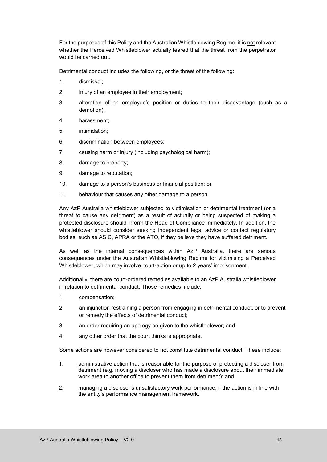For the purposes of this Policy and the Australian Whistleblowing Regime, it is not relevant whether the Perceived Whistleblower actually feared that the threat from the perpetrator would be carried out.

Detrimental conduct includes the following, or the threat of the following:

- 1. dismissal;
- 2. injury of an employee in their employment;
- 3. alteration of an employee's position or duties to their disadvantage (such as a demotion);
- 4. harassment;
- 5. intimidation;
- 6. discrimination between employees;
- 7. causing harm or injury (including psychological harm);
- 8. damage to property;
- 9. damage to reputation;
- 10. damage to a person's business or financial position; or
- 11. behaviour that causes any other damage to a person.

Any AzP Australia whistleblower subjected to victimisation or detrimental treatment (or a threat to cause any detriment) as a result of actually or being suspected of making a protected disclosure should inform the Head of Compliance immediately. In addition, the whistleblower should consider seeking independent legal advice or contact regulatory bodies, such as ASIC, APRA or the ATO, if they believe they have suffered detriment.

As well as the internal consequences within AzP Australia, there are serious consequences under the Australian Whistleblowing Regime for victimising a Perceived Whistleblower, which may involve court-action or up to 2 years' imprisonment.

Additionally, there are court-ordered remedies available to an AzP Australia whistleblower in relation to detrimental conduct. Those remedies include:

- 1. compensation;
- 2. an injunction restraining a person from engaging in detrimental conduct, or to prevent or remedy the effects of detrimental conduct;
- 3. an order requiring an apology be given to the whistleblower; and
- 4. any other order that the court thinks is appropriate.

Some actions are however considered to not constitute detrimental conduct. These include:

- 1. administrative action that is reasonable for the purpose of protecting a discloser from detriment (e.g. moving a discloser who has made a disclosure about their immediate work area to another office to prevent them from detriment); and
- 2. managing a discloser's unsatisfactory work performance, if the action is in line with the entity's performance management framework.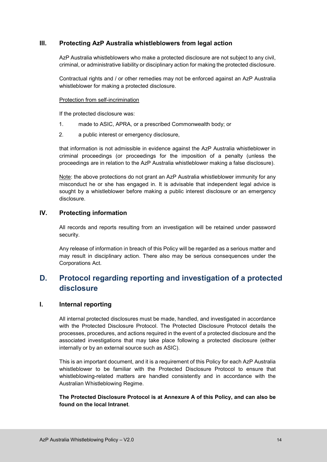# <span id="page-15-0"></span>**III. Protecting AzP Australia whistleblowers from legal action**

AzP Australia whistleblowers who make a protected disclosure are not subject to any civil, criminal, or administrative liability or disciplinary action for making the protected disclosure.

Contractual rights and / or other remedies may not be enforced against an AzP Australia whistleblower for making a protected disclosure.

### Protection from self-incrimination

If the protected disclosure was:

- 1. made to ASIC, APRA, or a prescribed Commonwealth body; or
- 2. a public interest or emergency disclosure,

that information is not admissible in evidence against the AzP Australia whistleblower in criminal proceedings (or proceedings for the imposition of a penalty (unless the proceedings are in relation to the AzP Australia whistleblower making a false disclosure).

Note: the above protections do not grant an AzP Australia whistleblower immunity for any misconduct he or she has engaged in. It is advisable that independent legal advice is sought by a whistleblower before making a public interest disclosure or an emergency disclosure.

# <span id="page-15-1"></span>**IV. Protecting information**

All records and reports resulting from an investigation will be retained under password security.

Any release of information in breach of this Policy will be regarded as a serious matter and may result in disciplinary action. There also may be serious consequences under the Corporations Act.

# <span id="page-15-2"></span>**D. Protocol regarding reporting and investigation of a protected disclosure**

# <span id="page-15-3"></span>**I. Internal reporting**

All internal protected disclosures must be made, handled, and investigated in accordance with the Protected Disclosure Protocol. The Protected Disclosure Protocol details the processes, procedures, and actions required in the event of a protected disclosure and the associated investigations that may take place following a protected disclosure (either internally or by an external source such as ASIC).

This is an important document, and it is a requirement of this Policy for each AzP Australia whistleblower to be familiar with the Protected Disclosure Protocol to ensure that whistleblowing-related matters are handled consistently and in accordance with the Australian Whistleblowing Regime.

**The Protected Disclosure Protocol is at Annexure A of this Policy, and can also be found on the local Intranet**.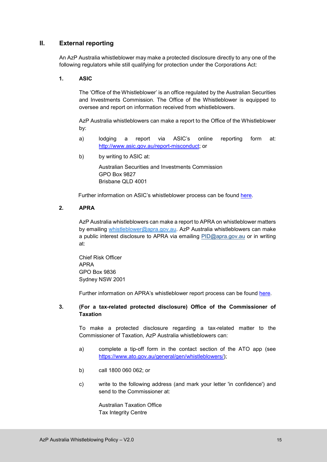# <span id="page-16-0"></span>**II. External reporting**

An AzP Australia whistleblower may make a protected disclosure directly to any one of the following regulators while still qualifying for protection under the Corporations Act:

### **1. ASIC**

The 'Office of the Whistleblower' is an office regulated by the Australian Securities and Investments Commission. The Office of the Whistleblower is equipped to oversee and report on information received from whistleblowers.

AzP Australia whistleblowers can make a report to the Office of the Whistleblower by:

- a) lodging a report via ASIC's online reporting form at: [http://www.asic.gov.au/report-misconduct;](http://www.asic.gov.au/report-misconduct) or
- b) by writing to ASIC at:

Australian Securities and Investments Commission GPO Box 9827 Brisbane QLD 4001

Further information on ASIC's whistleblower process can be found [here.](https://asic.gov.au/about-asic/asic-investigations-and-enforcement/whistleblowing/how-asic-handles-whistleblower-reports/)

#### **2. APRA**

AzP Australia whistleblowers can make a report to APRA on whistleblower matters by emailing [whistleblower@apra.gov.au.](mailto:whistleblower@apra.gov.au) AzP Australia whistleblowers can make a public interest disclosure to APRA via emailing [PID@apra.gov.au](mailto:PID@apra.gov.au) or in writing at:

Chief Risk Officer APRA GPO Box 9836 Sydney NSW 2001

Further information on APRA's whistleblower report process can be found [here.](https://www.apra.gov.au/become-a-whistleblower-or-make-a-public-interest-disclosure)

### **3. (For a tax-related protected disclosure) Office of the Commissioner of Taxation**

To make a protected disclosure regarding a tax-related matter to the Commissioner of Taxation, AzP Australia whistleblowers can:

- a) complete a tip-off form in the contact section of the ATO app (see [https://www.ato.gov.au/general/gen/whistleblowers/\)](https://www.ato.gov.au/general/gen/whistleblowers/);
- b) call 1800 060 062; or
- c) write to the following address (and mark your letter 'in confidence') and send to the Commissioner at:

Australian Taxation Office Tax Integrity Centre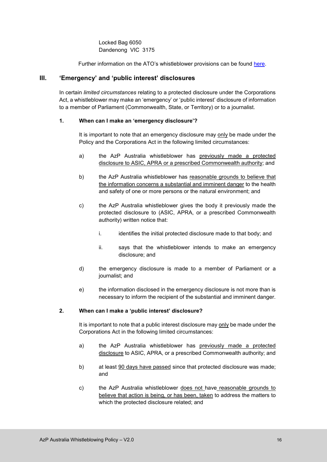Locked Bag 6050 Dandenong VIC 3175

Further information on the ATO's whistleblower provisions can be found [here.](https://www.ato.gov.au/general/gen/whistleblowers/)

# <span id="page-17-0"></span>**III. 'Emergency' and 'public interest' disclosures**

In certain *limited circumstances* relating to a protected disclosure under the Corporations Act, a whistleblower may make an 'emergency' or 'public interest' disclosure of information to a member of Parliament (Commonwealth, State, or Territory) or to a journalist.

# **1. When can I make an 'emergency disclosure'?**

It is important to note that an emergency disclosure may only be made under the Policy and the Corporations Act in the following limited circumstances:

- a) the AzP Australia whistleblower has previously made a protected disclosure to ASIC, APRA or a prescribed Commonwealth authority; and
- b) the AzP Australia whistleblower has reasonable grounds to believe that the information concerns a substantial and imminent danger to the health and safety of one or more persons or the natural environment; and
- c) the AzP Australia whistleblower gives the body it previously made the protected disclosure to (ASIC, APRA, or a prescribed Commonwealth authority) written notice that:
	- i. identifies the initial protected disclosure made to that body; and
	- ii. says that the whistleblower intends to make an emergency disclosure; and
- d) the emergency disclosure is made to a member of Parliament or a journalist; and
- e) the information disclosed in the emergency disclosure is not more than is necessary to inform the recipient of the substantial and imminent danger.

# **2. When can I make a 'public interest' disclosure?**

It is important to note that a public interest disclosure may only be made under the Corporations Act in the following limited circumstances:

- a) the AzP Australia whistleblower has previously made a protected disclosure to ASIC, APRA, or a prescribed Commonwealth authority; and
- b) at least 90 days have passed since that protected disclosure was made; and
- c) the AzP Australia whistleblower does not have reasonable grounds to believe that action is being, or has been, taken to address the matters to which the protected disclosure related; and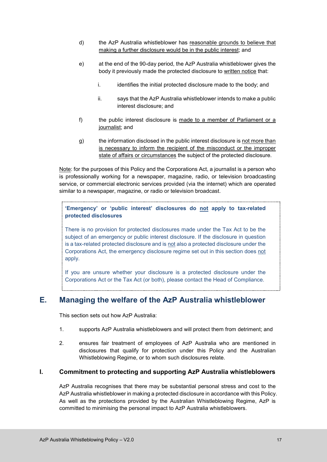- d) the AzP Australia whistleblower has reasonable grounds to believe that making a further disclosure would be in the public interest; and
- e) at the end of the 90-day period, the AzP Australia whistleblower gives the body it previously made the protected disclosure to written notice that:
	- $i.$  identifies the initial protected disclosure made to the body; and
	- ii. says that the AzP Australia whistleblower intends to make a public interest disclosure; and
- f) the public interest disclosure is made to a member of Parliament or a journalist; and
- g) the information disclosed in the public interest disclosure is not more than is necessary to inform the recipient of the misconduct or the improper state of affairs or circumstances the subject of the protected disclosure.

Note: for the purposes of this Policy and the Corporations Act, a journalist is a person who is professionally working for a newspaper, magazine, radio, or television broadcasting service, or commercial electronic services provided (via the internet) which are operated similar to a newspaper, magazine, or radio or television broadcast.

**'Emergency' or 'public interest' disclosures do not apply to tax-related protected disclosures** 

There is no provision for protected disclosures made under the Tax Act to be the subject of an emergency or public interest disclosure. If the disclosure in question is a tax-related protected disclosure and is not also a protected disclosure under the Corporations Act, the emergency disclosure regime set out in this section does not apply.

If you are unsure whether your disclosure is a protected disclosure under the Corporations Act or the Tax Act (or both), please contact the Head of Compliance.

# <span id="page-18-0"></span>**E. Managing the welfare of the AzP Australia whistleblower**

This section sets out how AzP Australia:

- 1. supports AzP Australia whistleblowers and will protect them from detriment; and
- 2. ensures fair treatment of employees of AzP Australia who are mentioned in disclosures that qualify for protection under this Policy and the Australian Whistleblowing Regime, or to whom such disclosures relate.

# <span id="page-18-1"></span>**I. Commitment to protecting and supporting AzP Australia whistleblowers**

AzP Australia recognises that there may be substantial personal stress and cost to the AzP Australia whistleblower in making a protected disclosure in accordance with this Policy. As well as the protections provided by the Australian Whistleblowing Regime, AzP is committed to minimising the personal impact to AzP Australia whistleblowers.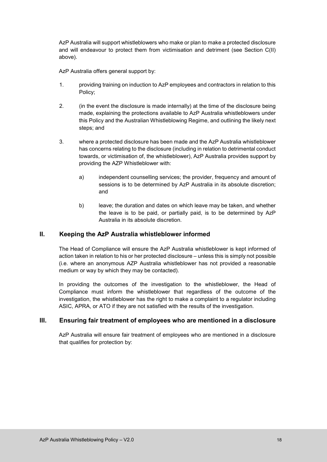AzP Australia will support whistleblowers who make or plan to make a protected disclosure and will endeavour to protect them from victimisation and detriment (see Section C(II) above).

AzP Australia offers general support by:

- 1. providing training on induction to AzP employees and contractors in relation to this Policy;
- 2. (in the event the disclosure is made internally) at the time of the disclosure being made, explaining the protections available to AzP Australia whistleblowers under this Policy and the Australian Whistleblowing Regime, and outlining the likely next steps; and
- 3. where a protected disclosure has been made and the AzP Australia whistleblower has concerns relating to the disclosure (including in relation to detrimental conduct towards, or victimisation of, the whistleblower), AzP Australia provides support by providing the AZP Whistleblower with:
	- a) independent counselling services; the provider, frequency and amount of sessions is to be determined by AzP Australia in its absolute discretion; and
	- b) leave; the duration and dates on which leave may be taken, and whether the leave is to be paid, or partially paid, is to be determined by AzP Australia in its absolute discretion.

# <span id="page-19-0"></span>**II. Keeping the AzP Australia whistleblower informed**

The Head of Compliance will ensure the AzP Australia whistleblower is kept informed of action taken in relation to his or her protected disclosure – unless this is simply not possible (i.e. where an anonymous AZP Australia whistleblower has not provided a reasonable medium or way by which they may be contacted).

In providing the outcomes of the investigation to the whistleblower, the Head of Compliance must inform the whistleblower that regardless of the outcome of the investigation, the whistleblower has the right to make a complaint to a regulator including ASIC, APRA, or ATO if they are not satisfied with the results of the investigation.

# <span id="page-19-1"></span>**III. Ensuring fair treatment of employees who are mentioned in a disclosure**

AzP Australia will ensure fair treatment of employees who are mentioned in a disclosure that qualifies for protection by: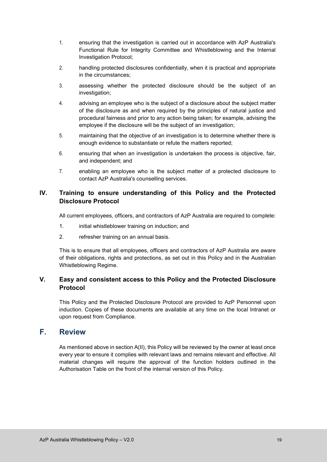- 1. ensuring that the investigation is carried out in accordance with AzP Australia's Functional Rule for Integrity Committee and Whistleblowing and the Internal Investigation Protocol;
- 2. handling protected disclosures confidentially, when it is practical and appropriate in the circumstances;
- 3. assessing whether the protected disclosure should be the subject of an investigation:
- 4. advising an employee who is the subject of a disclosure about the subject matter of the disclosure as and when required by the principles of natural justice and procedural fairness and prior to any action being taken; for example, advising the employee if the disclosure will be the subject of an investigation;
- 5. maintaining that the objective of an investigation is to determine whether there is enough evidence to substantiate or refute the matters reported;
- 6. ensuring that when an investigation is undertaken the process is objective, fair, and independent; and
- 7. enabling an employee who is the subject matter of a protected disclosure to contact AzP Australia's counselling services.

# <span id="page-20-0"></span>**IV. Training to ensure understanding of this Policy and the Protected Disclosure Protocol**

All current employees, officers, and contractors of AzP Australia are required to complete:

- 1. initial whistleblower training on induction; and
- 2. refresher training on an annual basis.

This is to ensure that all employees, officers and contractors of AzP Australia are aware of their obligations, rights and protections, as set out in this Policy and in the Australian Whistleblowing Regime.

# <span id="page-20-1"></span>**V. Easy and consistent access to this Policy and the Protected Disclosure Protocol**

This Policy and the Protected Disclosure Protocol are provided to AzP Personnel upon induction. Copies of these documents are available at any time on the local Intranet or upon request from Compliance.

# <span id="page-20-2"></span>**F. Review**

As mentioned above in section A(II), this Policy will be reviewed by the owner at least once every year to ensure it complies with relevant laws and remains relevant and effective. All material changes will require the approval of the function holders outlined in the Authorisation Table on the front of the internal version of this Policy.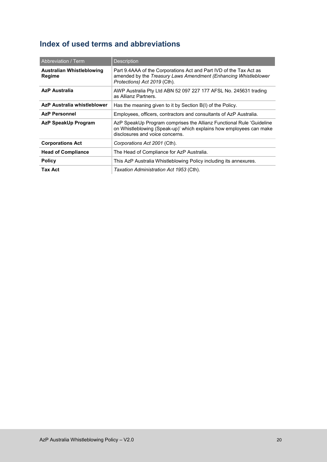# <span id="page-21-0"></span>**Index of used terms and abbreviations**

| Abbreviation / Term                 | <b>Description</b>                                                                                                                                                             |  |
|-------------------------------------|--------------------------------------------------------------------------------------------------------------------------------------------------------------------------------|--|
| Australian Whistleblowing<br>Regime | Part 9.4AAA of the Corporations Act and Part IVD of the Tax Act as<br>amended by the Treasury Laws Amendment (Enhancing Whistleblower<br>Protections) Act 2019 (Cth).          |  |
| <b>AzP Australia</b>                | AWP Australia Pty Ltd ABN 52 097 227 177 AFSL No. 245631 trading<br>as Allianz Partners.                                                                                       |  |
| AzP Australia whistleblower         | Has the meaning given to it by Section B(I) of the Policy.                                                                                                                     |  |
| <b>AzP Personnel</b>                | Employees, officers, contractors and consultants of AzP Australia.                                                                                                             |  |
| <b>AzP SpeakUp Program</b>          | AzP SpeakUp Program comprises the Allianz Functional Rule 'Guideline<br>on Whistleblowing (Speak-up)' which explains how employees can make<br>disclosures and voice concerns. |  |
| <b>Corporations Act</b>             | Corporations Act 2001 (Cth).                                                                                                                                                   |  |
| <b>Head of Compliance</b>           | The Head of Compliance for AzP Australia.                                                                                                                                      |  |
| <b>Policy</b>                       | This AzP Australia Whistleblowing Policy including its annexures.                                                                                                              |  |
| <b>Tax Act</b>                      | Taxation Administration Act 1953 (Cth).                                                                                                                                        |  |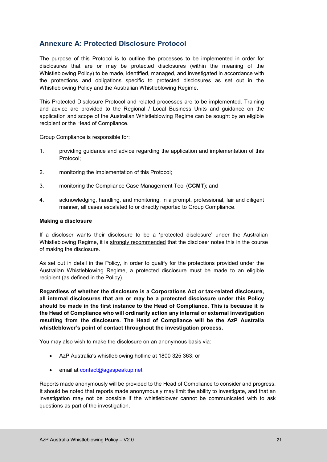# <span id="page-22-0"></span>**Annexure A: Protected Disclosure Protocol**

The purpose of this Protocol is to outline the processes to be implemented in order for disclosures that are or may be protected disclosures (within the meaning of the Whistleblowing Policy) to be made, identified, managed, and investigated in accordance with the protections and obligations specific to protected disclosures as set out in the Whistleblowing Policy and the Australian Whistleblowing Regime.

This Protected Disclosure Protocol and related processes are to be implemented. Training and advice are provided to the Regional / Local Business Units and guidance on the application and scope of the Australian Whistleblowing Regime can be sought by an eligible recipient or the Head of Compliance.

Group Compliance is responsible for:

- 1. providing guidance and advice regarding the application and implementation of this Protocol;
- 2. monitoring the implementation of this Protocol;
- 3. monitoring the Compliance Case Management Tool (**CCMT**); and
- 4. acknowledging, handling, and monitoring, in a prompt, professional, fair and diligent manner, all cases escalated to or directly reported to Group Compliance.

#### **Making a disclosure**

If a discloser wants their disclosure to be a **'**protected disclosure' under the Australian Whistleblowing Regime, it is strongly recommended that the discloser notes this in the course of making the disclosure.

As set out in detail in the Policy, in order to qualify for the protections provided under the Australian Whistleblowing Regime, a protected disclosure must be made to an eligible recipient (as defined in the Policy).

**Regardless of whether the disclosure is a Corporations Act or tax-related disclosure, all internal disclosures that are or may be a protected disclosure under this Policy should be made in the first instance to the Head of Compliance. This is because it is the Head of Compliance who will ordinarily action any internal or external investigation resulting from the disclosure. The Head of Compliance will be the AzP Australia whistleblower's point of contact throughout the investigation process.**

You may also wish to make the disclosure on an anonymous basis via:

- AzP Australia's whistleblowing hotline at 1800 325 363; or
- email at [contact@agaspeakup.net](mailto:contact@agaspeakup.net)

Reports made anonymously will be provided to the Head of Compliance to consider and progress. It should be noted that reports made anonymously may limit the ability to investigate, and that an investigation may not be possible if the whistleblower cannot be communicated with to ask questions as part of the investigation.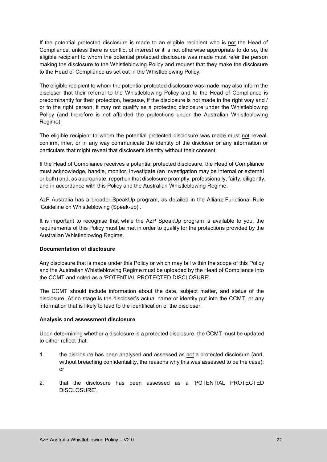If the potential protected disclosure is made to an eligible recipient who is not the Head of Compliance, unless there is conflict of interest or it is not otherwise appropriate to do so, the eligible recipient to whom the potential protected disclosure was made must refer the person making the disclosure to the Whistleblowing Policy and request that they make the disclosure to the Head of Compliance as set out in the Whistleblowing Policy.

The eligible recipient to whom the potential protected disclosure was made may also inform the discloser that their referral to the Whistleblowing Policy and to the Head of Compliance is predominantly for their protection, because, if the disclosure is not made in the right way and / or to the right person, it may not qualify as a protected disclosure under the Whistleblowing Policy (and therefore is not afforded the protections under the Australian Whistleblowing Regime).

The eligible recipient to whom the potential protected disclosure was made must not reveal, confirm, infer, or in any way communicate the identity of the discloser or any information or particulars that might reveal that discloser's identity without their consent.

If the Head of Compliance receives a potential protected disclosure, the Head of Compliance must acknowledge, handle, monitor, investigate (an investigation may be internal or external or both) and, as appropriate, report on that disclosure promptly, professionally, fairly, diligently, and in accordance with this Policy and the Australian Whistleblowing Regime.

AzP Australia has a broader SpeakUp program, as detailed in the Allianz Functional Rule 'Guideline on Whistleblowing (Speak-up)'.

It is important to recognise that while the AzP SpeakUp program is available to you, the requirements of this Policy must be met in order to qualify for the protections provided by the Australian Whistleblowing Regime.

# **Documentation of disclosure**

Any disclosure that is made under this Policy or which may fall within the scope of this Policy and the Australian Whistleblowing Regime must be uploaded by the Head of Compliance into the CCMT and noted as a 'POTENTIAL PROTECTED DISCLOSURE'.

The CCMT should include information about the date, subject matter, and status of the disclosure. At no stage is the discloser's actual name or identity put into the CCMT, or any information that is likely to lead to the identification of the discloser.

#### **Analysis and assessment disclosure**

Upon determining whether a disclosure is a protected disclosure, the CCMT must be updated to either reflect that:

- 1. the disclosure has been analysed and assessed as not a protected disclosure (and, without breaching confidentiality, the reasons why this was assessed to be the case); or
- 2. that the disclosure has been assessed as a 'POTENTIAL PROTECTED DISCLOSURE'.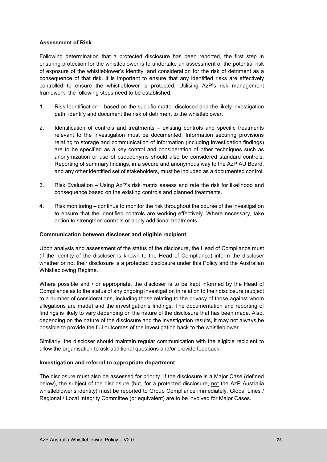# **Assessment of Risk**

Following determination that a protected disclosure has been reported, the first step in ensuring protection for the whistleblower is to undertake an assessment of the potential risk of exposure of the whistleblower's identity, and consideration for the risk of detriment as a consequence of that risk. It is important to ensure that any identified risks are effectively controlled to ensure the whistleblower is protected. Utilising AzP's risk management framework, the following steps need to be established:

- 1. Risk Identification based on the specific matter disclosed and the likely investigation path, identify and document the risk of detriment to the whistleblower.
- 2. Identification of controls and treatments existing controls and specific treatments relevant to the investigation must be documented. Information securing provisions relating to storage and communication of information (including investigation findings) are to be specified as a key control and consideration of other techniques such as anonymization or use of pseudonyms should also be considered standard controls. Reporting of summary findings, in a secure and anonymous way to the AzP AU Board, and any other identified set of stakeholders, must be included as a documented control.
- 3. Risk Evaluation Using AzP's risk matrix assess and rate the risk for likelihood and consequence based on the existing controls and planned treatments.
- 4. Risk monitoring continue to monitor the risk throughout the course of the investigation to ensure that the identified controls are working effectively. Where necessary, take action to strengthen controls or apply additional treatments.

# **Communication between discloser and eligible recipient**

Upon analysis and assessment of the status of the disclosure, the Head of Compliance must (if the identity of the discloser is known to the Head of Compliance) inform the discloser whether or not their disclosure is a protected disclosure under this Policy and the Australian Whistleblowing Regime.

Where possible and / or appropriate, the discloser is to be kept informed by the Head of Compliance as to the status of any ongoing investigation in relation to their disclosure (subject to a number of considerations, including those relating to the privacy of those against whom allegations are made) and the investigation's findings. The documentation and reporting of findings is likely to vary depending on the nature of the disclosure that has been made. Also, depending on the nature of the disclosure and the investigation results, it may not always be possible to provide the full outcomes of the investigation back to the whistleblower.

Similarly, the discloser should maintain regular communication with the eligible recipient to allow the organisation to ask additional questions and/or provide feedback.

# **Investigation and referral to appropriate department**

The disclosure must also be assessed for priority. If the disclosure is a Major Case (defined below), the subject of the disclosure (but, for a protected disclosure, not the AzP Australia whistleblower's identity) must be reported to Group Compliance immediately. Global Lines / Regional / Local Integrity Committee (or equivalent) are to be involved for Major Cases.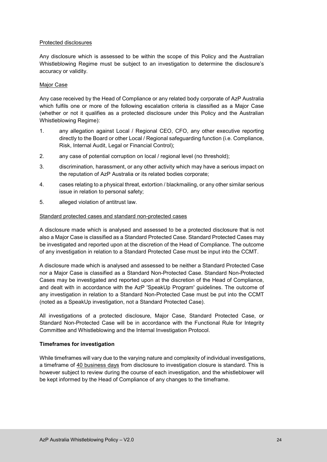#### Protected disclosures

Any disclosure which is assessed to be within the scope of this Policy and the Australian Whistleblowing Regime must be subject to an investigation to determine the disclosure's accuracy or validity.

#### Major Case

Any case received by the Head of Compliance or any related body corporate of AzP Australia which fulfils one or more of the following escalation criteria is classified as a Major Case (whether or not it qualifies as a protected disclosure under this Policy and the Australian Whistleblowing Regime):

- 1. any allegation against Local / Regional CEO, CFO, any other executive reporting directly to the Board or other Local / Regional safeguarding function (i.e. Compliance, Risk, Internal Audit, Legal or Financial Control);
- 2. any case of potential corruption on local / regional level (no threshold);
- 3. discrimination, harassment, or any other activity which may have a serious impact on the reputation of AzP Australia or its related bodies corporate;
- 4. cases relating to a physical threat, extortion / blackmailing, or any other similar serious issue in relation to personal safety;
- 5. alleged violation of antitrust law.

#### Standard protected cases and standard non-protected cases

A disclosure made which is analysed and assessed to be a protected disclosure that is not also a Major Case is classified as a Standard Protected Case. Standard Protected Cases may be investigated and reported upon at the discretion of the Head of Compliance. The outcome of any investigation in relation to a Standard Protected Case must be input into the CCMT.

A disclosure made which is analysed and assessed to be neither a Standard Protected Case nor a Major Case is classified as a Standard Non-Protected Case. Standard Non-Protected Cases may be investigated and reported upon at the discretion of the Head of Compliance, and dealt with in accordance with the AzP 'SpeakUp Program' guidelines. The outcome of any investigation in relation to a Standard Non-Protected Case must be put into the CCMT (noted as a SpeakUp investigation, not a Standard Protected Case).

All investigations of a protected disclosure, Major Case, Standard Protected Case, or Standard Non-Protected Case will be in accordance with the Functional Rule for Integrity Committee and Whistleblowing and the Internal Investigation Protocol.

#### **Timeframes for investigation**

While timeframes will vary due to the varying nature and complexity of individual investigations, a timeframe of 40 business days from disclosure to investigation closure is standard. This is however subject to review during the course of each investigation, and the whistleblower will be kept informed by the Head of Compliance of any changes to the timeframe.